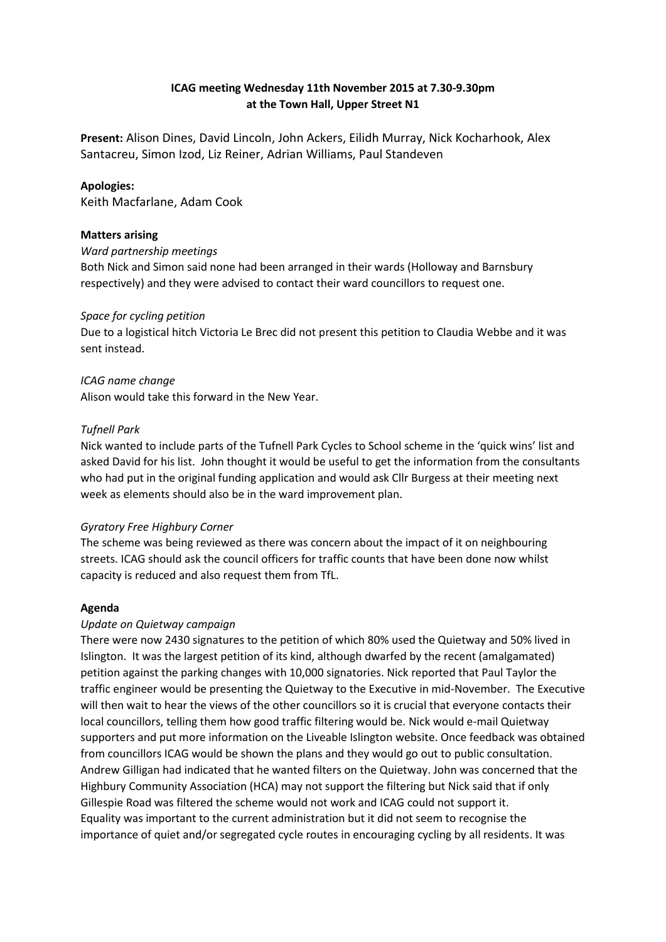# **ICAG meeting Wednesday 11th November 2015 at 7.30-9.30pm at the Town Hall, Upper Street N1**

**Present:** Alison Dines, David Lincoln, John Ackers, Eilidh Murray, Nick Kocharhook, Alex Santacreu, Simon Izod, Liz Reiner, Adrian Williams, Paul Standeven

# **Apologies:**

Keith Macfarlane, Adam Cook

## **Matters arising**

## *Ward partnership meetings*

Both Nick and Simon said none had been arranged in their wards (Holloway and Barnsbury respectively) and they were advised to contact their ward councillors to request one.

## *Space for cycling petition*

Due to a logistical hitch Victoria Le Brec did not present this petition to Claudia Webbe and it was sent instead.

## *ICAG name change*

Alison would take this forward in the New Year.

# *Tufnell Park*

Nick wanted to include parts of the Tufnell Park Cycles to School scheme in the 'quick wins' list and asked David for his list. John thought it would be useful to get the information from the consultants who had put in the original funding application and would ask Cllr Burgess at their meeting next week as elements should also be in the ward improvement plan.

## *Gyratory Free Highbury Corner*

The scheme was being reviewed as there was concern about the impact of it on neighbouring streets. ICAG should ask the council officers for traffic counts that have been done now whilst capacity is reduced and also request them from TfL.

# **Agenda**

## *Update on Quietway campaign*

There were now 2430 signatures to the petition of which 80% used the Quietway and 50% lived in Islington. It was the largest petition of its kind, although dwarfed by the recent (amalgamated) petition against the parking changes with 10,000 signatories. Nick reported that Paul Taylor the traffic engineer would be presenting the Quietway to the Executive in mid-November. The Executive will then wait to hear the views of the other councillors so it is crucial that everyone contacts their local councillors, telling them how good traffic filtering would be. Nick would e-mail Quietway supporters and put more information on the Liveable Islington website. Once feedback was obtained from councillors ICAG would be shown the plans and they would go out to public consultation. Andrew Gilligan had indicated that he wanted filters on the Quietway. John was concerned that the Highbury Community Association (HCA) may not support the filtering but Nick said that if only Gillespie Road was filtered the scheme would not work and ICAG could not support it. Equality was important to the current administration but it did not seem to recognise the importance of quiet and/or segregated cycle routes in encouraging cycling by all residents. It was